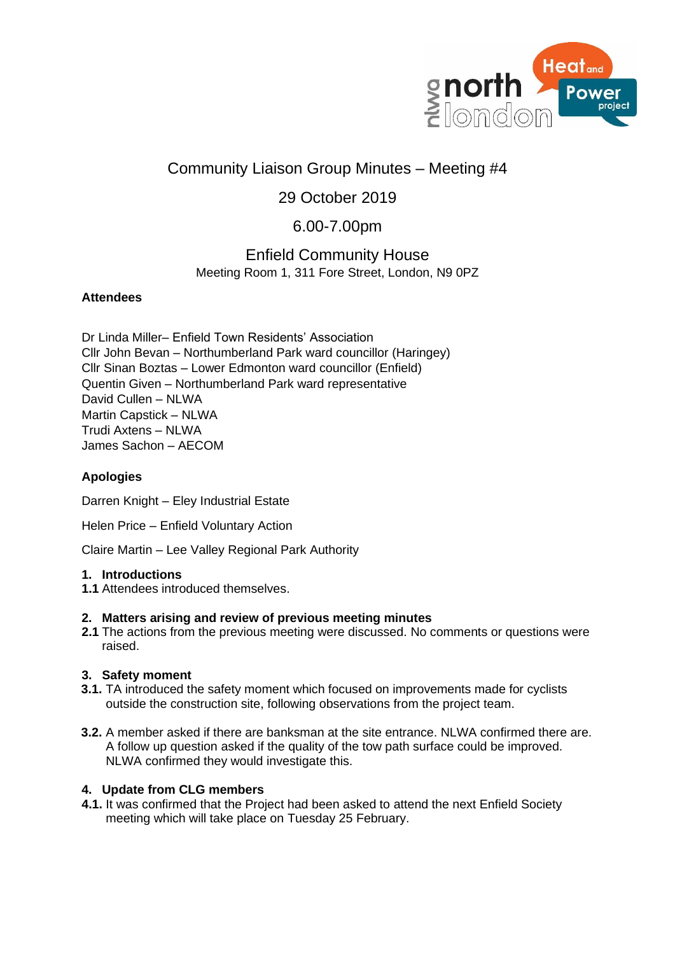

# Community Liaison Group Minutes – Meeting #4

## 29 October 2019

# 6.00-7.00pm

### Enfield Community House Meeting Room 1, 311 Fore Street, London, N9 0PZ

### **Attendees**

Dr Linda Miller– Enfield Town Residents' Association Cllr John Bevan – Northumberland Park ward councillor (Haringey) Cllr Sinan Boztas – Lower Edmonton ward councillor (Enfield) Quentin Given – Northumberland Park ward representative David Cullen – NLWA Martin Capstick – NLWA Trudi Axtens – NLWA James Sachon – AECOM

### **Apologies**

Darren Knight – Eley Industrial Estate

Helen Price – Enfield Voluntary Action

Claire Martin – Lee Valley Regional Park Authority

#### **1. Introductions**

**1.1** Attendees introduced themselves.

#### **2. Matters arising and review of previous meeting minutes**

**2.1** The actions from the previous meeting were discussed. No comments or questions were raised.

#### **3. Safety moment**

- **3.1.** TA introduced the safety moment which focused on improvements made for cyclists outside the construction site, following observations from the project team.
- **3.2.** A member asked if there are banksman at the site entrance. NLWA confirmed there are. A follow up question asked if the quality of the tow path surface could be improved. NLWA confirmed they would investigate this.

#### **4. Update from CLG members**

**4.1.** It was confirmed that the Project had been asked to attend the next Enfield Society meeting which will take place on Tuesday 25 February.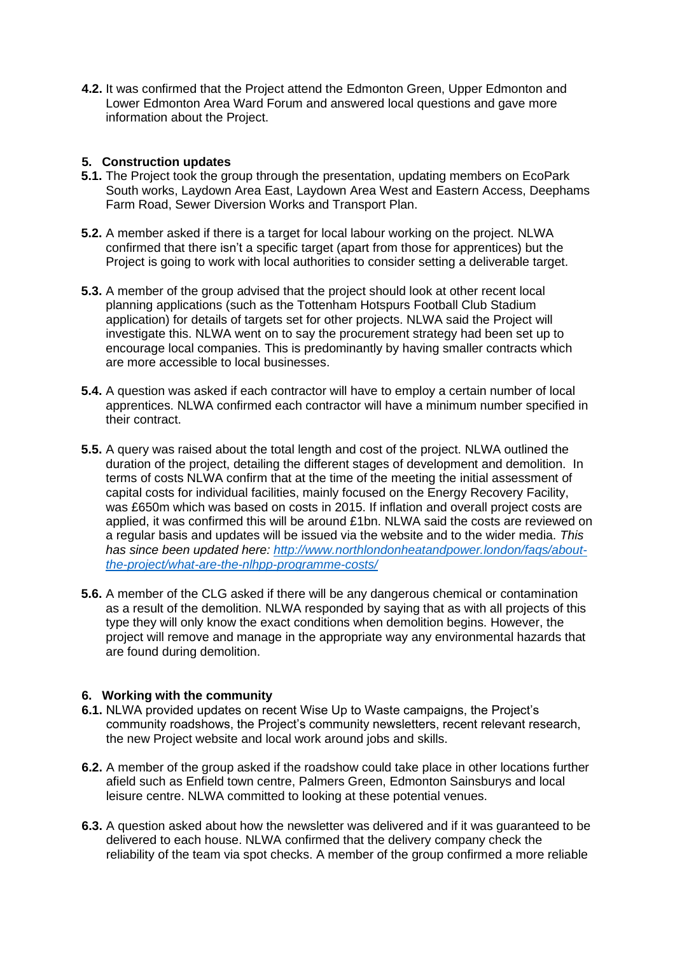**4.2.** It was confirmed that the Project attend the Edmonton Green, Upper Edmonton and Lower Edmonton Area Ward Forum and answered local questions and gave more information about the Project.

#### **5. Construction updates**

- **5.1.** The Project took the group through the presentation, updating members on EcoPark South works, Laydown Area East, Laydown Area West and Eastern Access, Deephams Farm Road, Sewer Diversion Works and Transport Plan.
- **5.2.** A member asked if there is a target for local labour working on the project. NLWA confirmed that there isn't a specific target (apart from those for apprentices) but the Project is going to work with local authorities to consider setting a deliverable target.
- **5.3.** A member of the group advised that the project should look at other recent local planning applications (such as the Tottenham Hotspurs Football Club Stadium application) for details of targets set for other projects. NLWA said the Project will investigate this. NLWA went on to say the procurement strategy had been set up to encourage local companies. This is predominantly by having smaller contracts which are more accessible to local businesses.
- **5.4.** A question was asked if each contractor will have to employ a certain number of local apprentices. NLWA confirmed each contractor will have a minimum number specified in their contract.
- **5.5.** A query was raised about the total length and cost of the project. NLWA outlined the duration of the project, detailing the different stages of development and demolition. In terms of costs NLWA confirm that at the time of the meeting the initial assessment of capital costs for individual facilities, mainly focused on the Energy Recovery Facility, was £650m which was based on costs in 2015. If inflation and overall project costs are applied, it was confirmed this will be around £1bn. NLWA said the costs are reviewed on a regular basis and updates will be issued via the website and to the wider media. *This has since been updated here: [http://www.northlondonheatandpower.london/faqs/about](http://www.northlondonheatandpower.london/faqs/about-the-project/what-are-the-nlhpp-programme-costs/)[the-project/what-are-the-nlhpp-programme-costs/](http://www.northlondonheatandpower.london/faqs/about-the-project/what-are-the-nlhpp-programme-costs/)*
- **5.6.** A member of the CLG asked if there will be any dangerous chemical or contamination as a result of the demolition. NLWA responded by saying that as with all projects of this type they will only know the exact conditions when demolition begins. However, the project will remove and manage in the appropriate way any environmental hazards that are found during demolition.

#### **6. Working with the community**

- **6.1.** NLWA provided updates on recent Wise Up to Waste campaigns, the Project's community roadshows, the Project's community newsletters, recent relevant research, the new Project website and local work around jobs and skills.
- **6.2.** A member of the group asked if the roadshow could take place in other locations further afield such as Enfield town centre, Palmers Green, Edmonton Sainsburys and local leisure centre. NLWA committed to looking at these potential venues.
- **6.3.** A question asked about how the newsletter was delivered and if it was guaranteed to be delivered to each house. NLWA confirmed that the delivery company check the reliability of the team via spot checks. A member of the group confirmed a more reliable